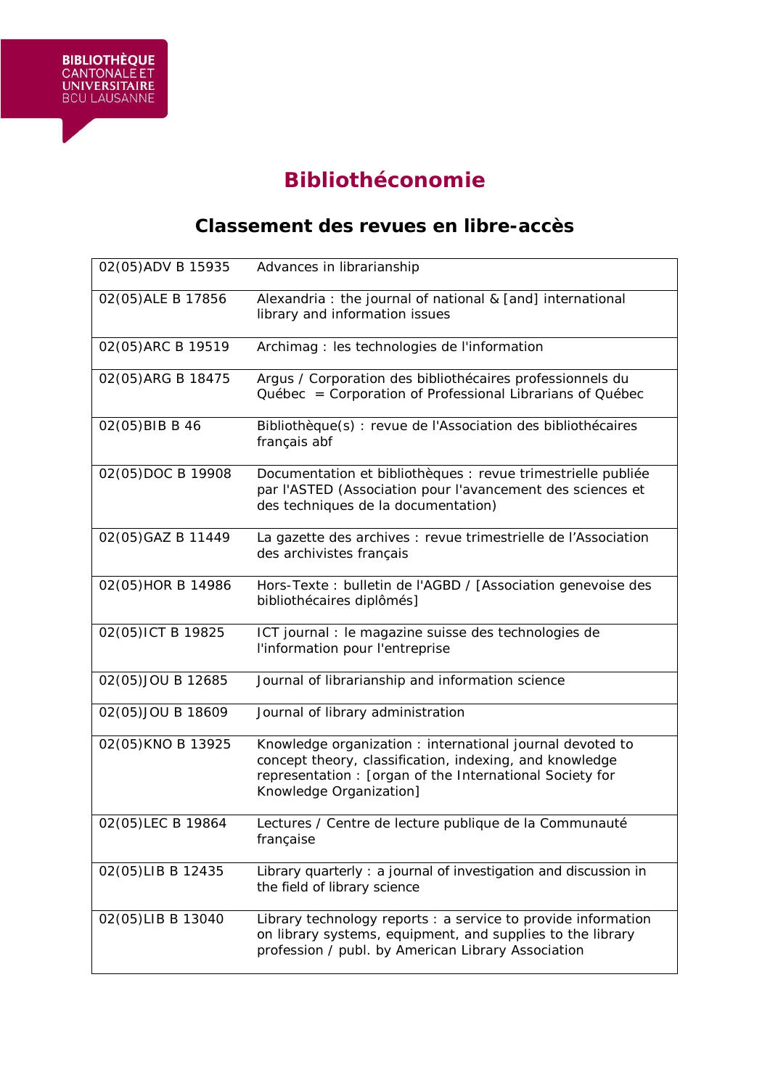

**BIBLIOTHÈQUE**<br>CANTONALE ET<br>UNIVERSITAIRE<br>BCU LAUSANNE

## **Classement des revues en libre-accès**

| 02(05) ADV B 15935 | Advances in librarianship                                                                                                                                                                                   |
|--------------------|-------------------------------------------------------------------------------------------------------------------------------------------------------------------------------------------------------------|
| 02(05) ALE B 17856 | Alexandria : the journal of national & [and] international<br>library and information issues                                                                                                                |
| 02(05) ARC B 19519 | Archimag : les technologies de l'information                                                                                                                                                                |
| 02(05) ARG B 18475 | Argus / Corporation des bibliothécaires professionnels du<br>Québec = Corporation of Professional Librarians of Québec                                                                                      |
| 02(05) BIB B 46    | Bibliothèque(s) : revue de l'Association des bibliothécaires<br>français abf                                                                                                                                |
| 02(05)DOC B 19908  | Documentation et bibliothèques : revue trimestrielle publiée<br>par l'ASTED (Association pour l'avancement des sciences et<br>des techniques de la documentation)                                           |
| 02(05) GAZ B 11449 | La gazette des archives : revue trimestrielle de l'Association<br>des archivistes français                                                                                                                  |
| 02(05) HOR B 14986 | Hors-Texte: bulletin de l'AGBD / [Association genevoise des<br>bibliothécaires diplômés]                                                                                                                    |
| 02(05) ICT B 19825 | ICT journal : le magazine suisse des technologies de<br>l'information pour l'entreprise                                                                                                                     |
| 02(05)JOU B 12685  | Journal of librarianship and information science                                                                                                                                                            |
| 02(05) JOU B 18609 | Journal of library administration                                                                                                                                                                           |
| 02(05) KNO B 13925 | Knowledge organization : international journal devoted to<br>concept theory, classification, indexing, and knowledge<br>representation : [organ of the International Society for<br>Knowledge Organization] |
| 02(05)LEC B 19864  | Lectures / Centre de lecture publique de la Communauté<br>française                                                                                                                                         |
| 02(05)LIB B 12435  | Library quarterly: a journal of investigation and discussion in<br>the field of library science                                                                                                             |
| 02(05)LIB B 13040  | Library technology reports : a service to provide information<br>on library systems, equipment, and supplies to the library<br>profession / publ. by American Library Association                           |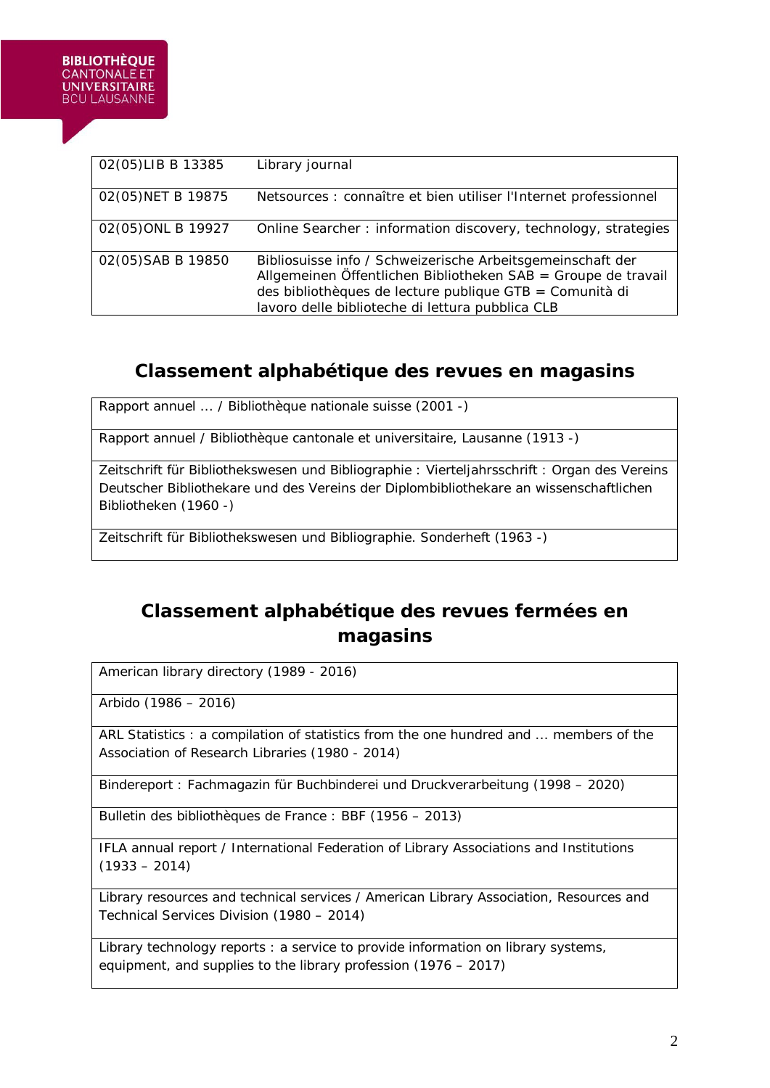| 02(05)LIB B 13385  | Library journal                                                                                                                                                                                                                            |
|--------------------|--------------------------------------------------------------------------------------------------------------------------------------------------------------------------------------------------------------------------------------------|
| 02(05) NET B 19875 | Netsources : connaître et bien utiliser l'Internet professionnel                                                                                                                                                                           |
| 02(05) ONL B 19927 | Online Searcher: information discovery, technology, strategies                                                                                                                                                                             |
| 02(05) SAB B 19850 | Bibliosuisse info / Schweizerische Arbeitsgemeinschaft der<br>Allgemeinen Öffentlichen Bibliotheken SAB = Groupe de travail<br>des bibliothèques de lecture publique GTB = Comunità di<br>lavoro delle biblioteche di lettura pubblica CLB |

## **Classement alphabétique des revues en magasins**

Rapport annuel ... / Bibliothèque nationale suisse (2001 -)

Rapport annuel / Bibliothèque cantonale et universitaire, Lausanne (1913 -)

Zeitschrift für Bibliothekswesen und Bibliographie : Vierteljahrsschrift : Organ des Vereins Deutscher Bibliothekare und des Vereins der Diplombibliothekare an wissenschaftlichen Bibliotheken (1960 -)

Zeitschrift für Bibliothekswesen und Bibliographie. Sonderheft (1963 -)

## **Classement alphabétique des revues fermées en magasins**

American library directory (1989 - 2016)

Arbido (1986 – 2016)

ARL Statistics : a compilation of statistics from the one hundred and ... members of the Association of Research Libraries (1980 - 2014)

Bindereport : Fachmagazin für Buchbinderei und Druckverarbeitung (1998 – 2020)

Bulletin des bibliothèques de France : BBF (1956 – 2013)

IFLA annual report / International Federation of Library Associations and Institutions  $(1933 - 2014)$ 

Library resources and technical services / American Library Association, Resources and Technical Services Division (1980 – 2014)

Library technology reports : a service to provide information on library systems, equipment, and supplies to the library profession (1976 – 2017)